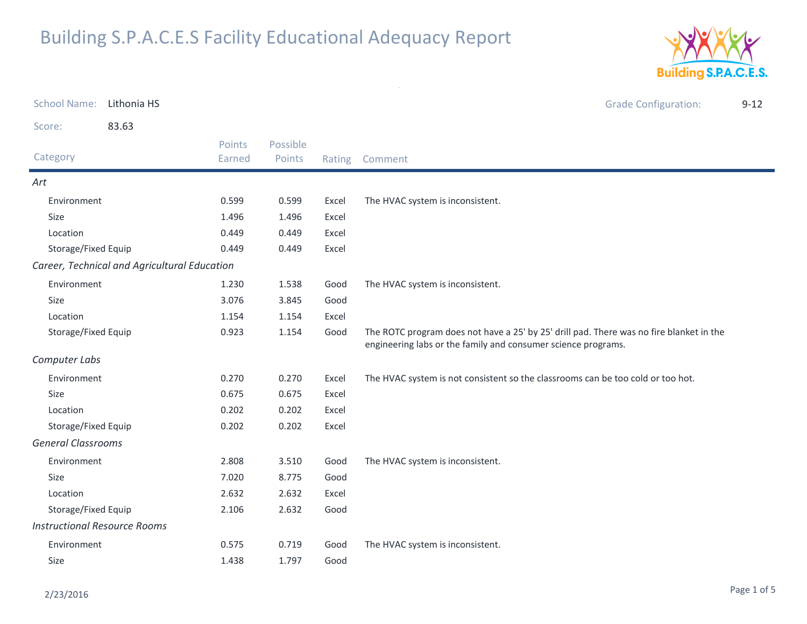

| <b>School Name:</b>                 | Lithonia HS                                  |                  |                    |       | <b>Grade Configuration:</b>                                                                                                                              | $9 - 12$ |
|-------------------------------------|----------------------------------------------|------------------|--------------------|-------|----------------------------------------------------------------------------------------------------------------------------------------------------------|----------|
| Score:                              | 83.63                                        |                  |                    |       |                                                                                                                                                          |          |
| Category                            |                                              | Points<br>Earned | Possible<br>Points |       | Rating Comment                                                                                                                                           |          |
| Art                                 |                                              |                  |                    |       |                                                                                                                                                          |          |
| Environment                         |                                              | 0.599            | 0.599              | Excel | The HVAC system is inconsistent.                                                                                                                         |          |
| <b>Size</b>                         |                                              | 1.496            | 1.496              | Excel |                                                                                                                                                          |          |
| Location                            |                                              | 0.449            | 0.449              | Excel |                                                                                                                                                          |          |
| Storage/Fixed Equip                 |                                              | 0.449            | 0.449              | Excel |                                                                                                                                                          |          |
|                                     | Career, Technical and Agricultural Education |                  |                    |       |                                                                                                                                                          |          |
| Environment                         |                                              | 1.230            | 1.538              | Good  | The HVAC system is inconsistent.                                                                                                                         |          |
| Size                                |                                              | 3.076            | 3.845              | Good  |                                                                                                                                                          |          |
| Location                            |                                              | 1.154            | 1.154              | Excel |                                                                                                                                                          |          |
| Storage/Fixed Equip                 |                                              | 0.923            | 1.154              | Good  | The ROTC program does not have a 25' by 25' drill pad. There was no fire blanket in the<br>engineering labs or the family and consumer science programs. |          |
| Computer Labs                       |                                              |                  |                    |       |                                                                                                                                                          |          |
| Environment                         |                                              | 0.270            | 0.270              | Excel | The HVAC system is not consistent so the classrooms can be too cold or too hot.                                                                          |          |
| Size                                |                                              | 0.675            | 0.675              | Excel |                                                                                                                                                          |          |
| Location                            |                                              | 0.202            | 0.202              | Excel |                                                                                                                                                          |          |
| Storage/Fixed Equip                 |                                              | 0.202            | 0.202              | Excel |                                                                                                                                                          |          |
| <b>General Classrooms</b>           |                                              |                  |                    |       |                                                                                                                                                          |          |
| Environment                         |                                              | 2.808            | 3.510              | Good  | The HVAC system is inconsistent.                                                                                                                         |          |
| Size                                |                                              | 7.020            | 8.775              | Good  |                                                                                                                                                          |          |
| Location                            |                                              | 2.632            | 2.632              | Excel |                                                                                                                                                          |          |
| Storage/Fixed Equip                 |                                              | 2.106            | 2.632              | Good  |                                                                                                                                                          |          |
| <b>Instructional Resource Rooms</b> |                                              |                  |                    |       |                                                                                                                                                          |          |
| Environment                         |                                              | 0.575            | 0.719              | Good  | The HVAC system is inconsistent.                                                                                                                         |          |
| Size                                |                                              | 1.438            | 1.797              | Good  |                                                                                                                                                          |          |
|                                     |                                              |                  |                    |       |                                                                                                                                                          |          |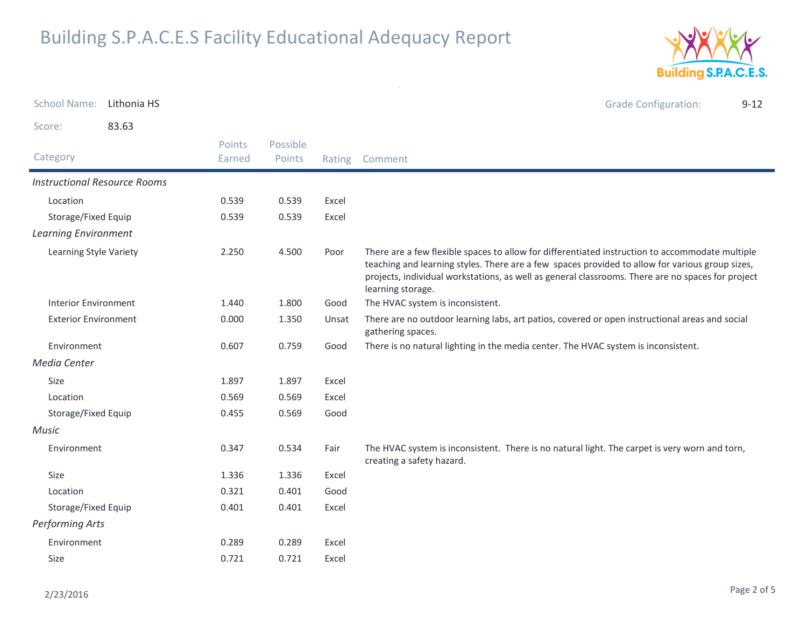

School Name: Li<mark>thonia HS</mark> Grade Configuration: 9-12 Score: 83.63Category Rating Comment Possible PointsPoints EarnedInstructional Resource RoomsLocation 0.539 0.539 Excel Storage/Fixed Equip 0.539 0.539 Excel Learning EnvironmentLearning Style Variety There are a few flexible spaces to allow for differentiated instruction to accommodate multiple teaching and learning styles. There are a few spaces provided to allow for various group sizes, projects, individual workstations, as well as general classrooms. There are no spaces for project learning storage. 2.2504.500 Interior Environment 1.440 1.800 Good The HVAC system is inconsistent. Exterior Environment There are no outdoor learning labs, art patios, covered or open instructional areas and social gathering spaces. 0.0001.350 Environment 0.607 0.759 Good There is no natural lighting in the media center. The HVAC system is inconsistent. Media CenterSizee 1.897 1.897 Excel Location 0.569 0.569 Excel Storage/Fixed Equip 0.455 0.569 Good MusicEnvironment The HVAC system is inconsistent. There is no natural light. The carpet is very worn and torn, creating a safety hazard.0.347 $0.534$ Sizee 1.336 1.336 Excel Location 0.321 0.401 Good Storage/Fixed Equip 0.401 0.401 Excel Performing ArtsEnvironment 0.289 0.289 Excel Sizee 0.721 0.721 Excel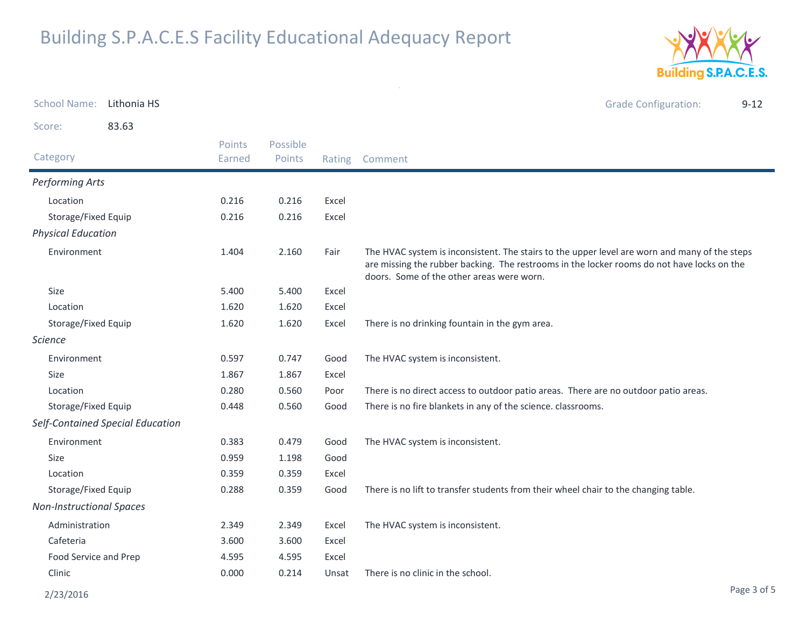

| <b>School Name:</b>             | Lithonia HS                      |                  |                    |        | <b>Grade Configuration:</b><br>$9 - 12$                                                                                                                                                                                                  |
|---------------------------------|----------------------------------|------------------|--------------------|--------|------------------------------------------------------------------------------------------------------------------------------------------------------------------------------------------------------------------------------------------|
| Score:                          | 83.63                            |                  |                    |        |                                                                                                                                                                                                                                          |
| Category                        |                                  | Points<br>Earned | Possible<br>Points | Rating | Comment                                                                                                                                                                                                                                  |
| Performing Arts                 |                                  |                  |                    |        |                                                                                                                                                                                                                                          |
| Location                        |                                  | 0.216            | 0.216              | Excel  |                                                                                                                                                                                                                                          |
| Storage/Fixed Equip             |                                  | 0.216            | 0.216              | Excel  |                                                                                                                                                                                                                                          |
| <b>Physical Education</b>       |                                  |                  |                    |        |                                                                                                                                                                                                                                          |
| Environment                     |                                  | 1.404            | 2.160              | Fair   | The HVAC system is inconsistent. The stairs to the upper level are worn and many of the steps<br>are missing the rubber backing. The restrooms in the locker rooms do not have locks on the<br>doors. Some of the other areas were worn. |
| Size                            |                                  | 5.400            | 5.400              | Excel  |                                                                                                                                                                                                                                          |
| Location                        |                                  | 1.620            | 1.620              | Excel  |                                                                                                                                                                                                                                          |
| Storage/Fixed Equip             |                                  | 1.620            | 1.620              | Excel  | There is no drinking fountain in the gym area.                                                                                                                                                                                           |
| <i>Science</i>                  |                                  |                  |                    |        |                                                                                                                                                                                                                                          |
| Environment                     |                                  | 0.597            | 0.747              | Good   | The HVAC system is inconsistent.                                                                                                                                                                                                         |
| <b>Size</b>                     |                                  | 1.867            | 1.867              | Excel  |                                                                                                                                                                                                                                          |
| Location                        |                                  | 0.280            | 0.560              | Poor   | There is no direct access to outdoor patio areas. There are no outdoor patio areas.                                                                                                                                                      |
| Storage/Fixed Equip             |                                  | 0.448            | 0.560              | Good   | There is no fire blankets in any of the science. classrooms.                                                                                                                                                                             |
|                                 | Self-Contained Special Education |                  |                    |        |                                                                                                                                                                                                                                          |
| Environment                     |                                  | 0.383            | 0.479              | Good   | The HVAC system is inconsistent.                                                                                                                                                                                                         |
| <b>Size</b>                     |                                  | 0.959            | 1.198              | Good   |                                                                                                                                                                                                                                          |
| Location                        |                                  | 0.359            | 0.359              | Excel  |                                                                                                                                                                                                                                          |
| Storage/Fixed Equip             |                                  | 0.288            | 0.359              | Good   | There is no lift to transfer students from their wheel chair to the changing table.                                                                                                                                                      |
| <b>Non-Instructional Spaces</b> |                                  |                  |                    |        |                                                                                                                                                                                                                                          |
| Administration                  |                                  | 2.349            | 2.349              | Excel  | The HVAC system is inconsistent.                                                                                                                                                                                                         |
| Cafeteria                       |                                  | 3.600            | 3.600              | Excel  |                                                                                                                                                                                                                                          |
| Food Service and Prep           |                                  | 4.595            | 4.595              | Excel  |                                                                                                                                                                                                                                          |
| Clinic                          |                                  | 0.000            | 0.214              | Unsat  | There is no clinic in the school.                                                                                                                                                                                                        |

 $\sim$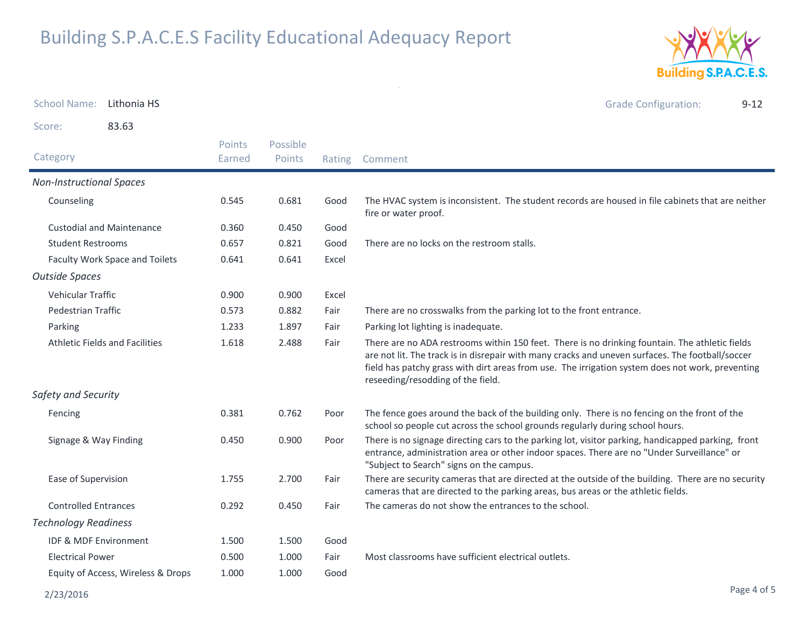

| <b>School Name:</b><br>Lithonia HS    |  |                         |                    |       | <b>Grade Configuration:</b><br>$9 - 12$                                                                                                                                                                                                                                                                                                     |  |
|---------------------------------------|--|-------------------------|--------------------|-------|---------------------------------------------------------------------------------------------------------------------------------------------------------------------------------------------------------------------------------------------------------------------------------------------------------------------------------------------|--|
| 83.63<br>Score:                       |  |                         |                    |       |                                                                                                                                                                                                                                                                                                                                             |  |
| Category                              |  | <b>Points</b><br>Earned | Possible<br>Points |       | Rating Comment                                                                                                                                                                                                                                                                                                                              |  |
| <b>Non-Instructional Spaces</b>       |  |                         |                    |       |                                                                                                                                                                                                                                                                                                                                             |  |
| Counseling                            |  | 0.545                   | 0.681              | Good  | The HVAC system is inconsistent. The student records are housed in file cabinets that are neither<br>fire or water proof.                                                                                                                                                                                                                   |  |
| <b>Custodial and Maintenance</b>      |  | 0.360                   | 0.450              | Good  |                                                                                                                                                                                                                                                                                                                                             |  |
| <b>Student Restrooms</b>              |  | 0.657                   | 0.821              | Good  | There are no locks on the restroom stalls.                                                                                                                                                                                                                                                                                                  |  |
| Faculty Work Space and Toilets        |  | 0.641                   | 0.641              | Excel |                                                                                                                                                                                                                                                                                                                                             |  |
| <b>Outside Spaces</b>                 |  |                         |                    |       |                                                                                                                                                                                                                                                                                                                                             |  |
| Vehicular Traffic                     |  | 0.900                   | 0.900              | Excel |                                                                                                                                                                                                                                                                                                                                             |  |
| Pedestrian Traffic                    |  | 0.573                   | 0.882              | Fair  | There are no crosswalks from the parking lot to the front entrance.                                                                                                                                                                                                                                                                         |  |
| Parking                               |  | 1.233                   | 1.897              | Fair  | Parking lot lighting is inadequate.                                                                                                                                                                                                                                                                                                         |  |
| <b>Athletic Fields and Facilities</b> |  | 1.618                   | 2.488              | Fair  | There are no ADA restrooms within 150 feet. There is no drinking fountain. The athletic fields<br>are not lit. The track is in disrepair with many cracks and uneven surfaces. The football/soccer<br>field has patchy grass with dirt areas from use. The irrigation system does not work, preventing<br>reseeding/resodding of the field. |  |
| Safety and Security                   |  |                         |                    |       |                                                                                                                                                                                                                                                                                                                                             |  |
| Fencing                               |  | 0.381                   | 0.762              | Poor  | The fence goes around the back of the building only. There is no fencing on the front of the<br>school so people cut across the school grounds regularly during school hours.                                                                                                                                                               |  |
| Signage & Way Finding                 |  | 0.450                   | 0.900              | Poor  | There is no signage directing cars to the parking lot, visitor parking, handicapped parking, front<br>entrance, administration area or other indoor spaces. There are no "Under Surveillance" or<br>"Subject to Search" signs on the campus.                                                                                                |  |
| Ease of Supervision                   |  | 1.755                   | 2.700              | Fair  | There are security cameras that are directed at the outside of the building. There are no security<br>cameras that are directed to the parking areas, bus areas or the athletic fields.                                                                                                                                                     |  |
| <b>Controlled Entrances</b>           |  | 0.292                   | 0.450              | Fair  | The cameras do not show the entrances to the school.                                                                                                                                                                                                                                                                                        |  |
| <b>Technology Readiness</b>           |  |                         |                    |       |                                                                                                                                                                                                                                                                                                                                             |  |
| <b>IDF &amp; MDF Environment</b>      |  | 1.500                   | 1.500              | Good  |                                                                                                                                                                                                                                                                                                                                             |  |
| <b>Electrical Power</b>               |  | 0.500                   | 1.000              | Fair  | Most classrooms have sufficient electrical outlets.                                                                                                                                                                                                                                                                                         |  |
| Equity of Access, Wireless & Drops    |  | 1.000                   | 1.000              | Good  |                                                                                                                                                                                                                                                                                                                                             |  |

 $\sim$